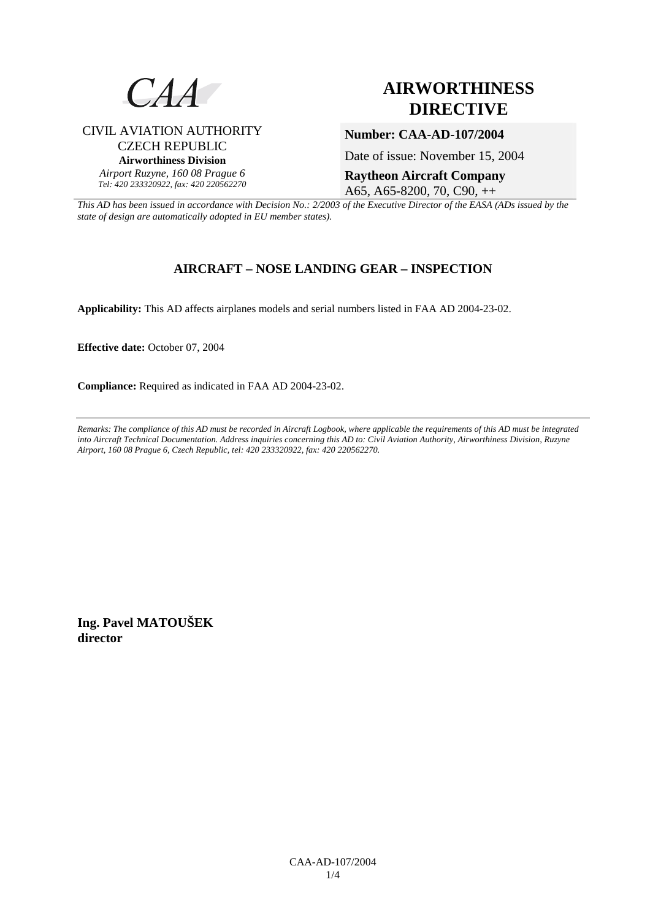

# **AIRWORTHINESS DIRECTIVE**

# CIVIL AVIATION AUTHORITY CZECH REPUBLIC **Airworthiness Division**  *Airport Ruzyne, 160 08 Prague 6 Tel: 420 233320922, fax: 420 220562270*

Date of issue: November 15, 2004

**Raytheon Aircraft Company**  A65, A65-8200, 70, C90, ++

**Number: CAA-AD-107/2004** 

*This AD has been issued in accordance with Decision No.: 2/2003 of the Executive Director of the EASA (ADs issued by the state of design are automatically adopted in EU member states).*

# **AIRCRAFT – NOSE LANDING GEAR – INSPECTION**

**Applicability:** This AD affects airplanes models and serial numbers listed in FAA AD 2004-23-02.

**Effective date:** October 07, 2004

**Compliance:** Required as indicated in FAA AD 2004-23-02.

*Remarks: The compliance of this AD must be recorded in Aircraft Logbook, where applicable the requirements of this AD must be integrated into Aircraft Technical Documentation. Address inquiries concerning this AD to: Civil Aviation Authority, Airworthiness Division, Ruzyne Airport, 160 08 Prague 6, Czech Republic, tel: 420 233320922, fax: 420 220562270.* 

**Ing. Pavel MATOUŠEK director**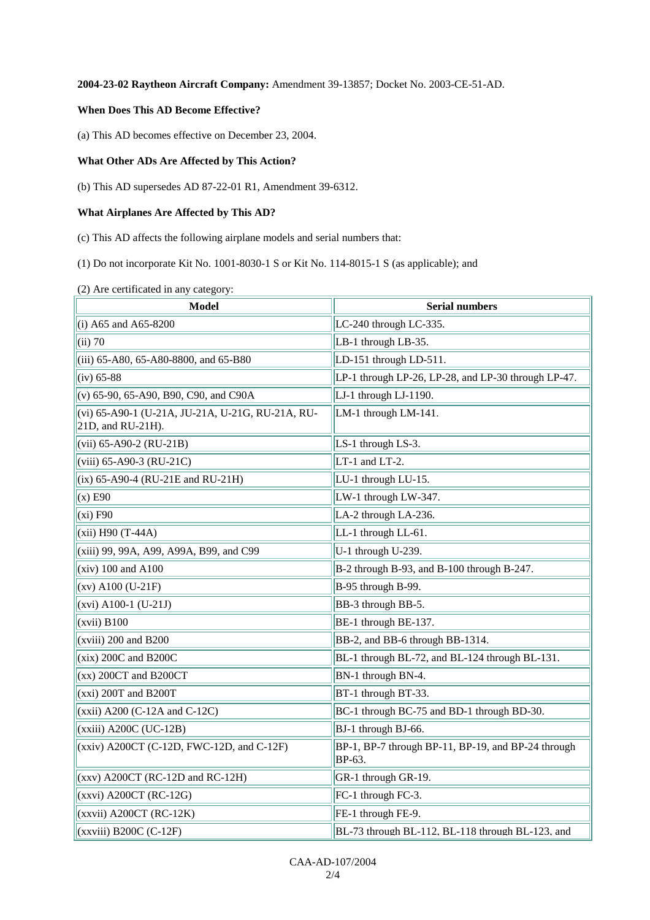### **2004-23-02 Raytheon Aircraft Company:** Amendment 39-13857; Docket No. 2003-CE-51-AD.

#### **When Does This AD Become Effective?**

(a) This AD becomes effective on December 23, 2004.

## **What Other ADs Are Affected by This Action?**

(b) This AD supersedes AD 87-22-01 R1, Amendment 39-6312.

# **What Airplanes Are Affected by This AD?**

(c) This AD affects the following airplane models and serial numbers that:

(1) Do not incorporate Kit No. 1001-8030-1 S or Kit No. 114-8015-1 S (as applicable); and

(2) Are certificated in any category:

| <b>Model</b>                                                          | <b>Serial numbers</b>                                        |  |  |  |
|-----------------------------------------------------------------------|--------------------------------------------------------------|--|--|--|
| (i) A65 and A65-8200                                                  | LC-240 through LC-335.                                       |  |  |  |
| $(ii)$ 70                                                             | LB-1 through LB-35.                                          |  |  |  |
| (iii) 65-A80, 65-A80-8800, and 65-B80                                 | LD-151 through LD-511.                                       |  |  |  |
| $(iv) 65-88$                                                          | LP-1 through LP-26, LP-28, and LP-30 through LP-47.          |  |  |  |
| (v) 65-90, 65-A90, B90, C90, and C90A                                 | LJ-1 through LJ-1190.                                        |  |  |  |
| (vi) 65-A90-1 (U-21A, JU-21A, U-21G, RU-21A, RU-<br>21D, and RU-21H). | LM-1 through LM-141.                                         |  |  |  |
| $(vii)$ 65-A90-2 (RU-21B)                                             | LS-1 through LS-3.                                           |  |  |  |
| (viii) 65-A90-3 (RU-21C)                                              | LT-1 and LT-2.                                               |  |  |  |
| $(ix)$ 65-A90-4 (RU-21E and RU-21H)                                   | LU-1 through LU-15.                                          |  |  |  |
| $(x)$ E90                                                             | LW-1 through LW-347.                                         |  |  |  |
| (xi) F90                                                              | LA-2 through LA-236.                                         |  |  |  |
| (xii) H90 (T-44A)                                                     | LL-1 through LL-61.                                          |  |  |  |
| (xiii) 99, 99A, A99, A99A, B99, and C99                               | U-1 through U-239.                                           |  |  |  |
| $(xiv)$ 100 and A100                                                  | B-2 through B-93, and B-100 through B-247.                   |  |  |  |
| $(xv)$ A100 (U-21F)                                                   | B-95 through B-99.                                           |  |  |  |
| $(xvi)$ A100-1 (U-21J)                                                | BB-3 through BB-5.                                           |  |  |  |
| $(xvii)$ B100                                                         | BE-1 through BE-137.                                         |  |  |  |
| $(xviii)$ 200 and B200                                                | BB-2, and BB-6 through BB-1314.                              |  |  |  |
| $(xix)$ 200C and B200C                                                | BL-1 through BL-72, and BL-124 through BL-131.               |  |  |  |
| $(xx)$ 200CT and B200CT                                               | BN-1 through BN-4.                                           |  |  |  |
| $(xxi)$ 200T and B200T                                                | BT-1 through BT-33.                                          |  |  |  |
| $(xxii)$ A200 (C-12A and C-12C)                                       | BC-1 through BC-75 and BD-1 through BD-30.                   |  |  |  |
| (xxiii) A200C (UC-12B)                                                | BJ-1 through BJ-66.                                          |  |  |  |
| $(xxiv)$ A200CT (C-12D, FWC-12D, and C-12F)                           | BP-1, BP-7 through BP-11, BP-19, and BP-24 through<br>BP-63. |  |  |  |
| $(xxy)$ A200CT (RC-12D and RC-12H)                                    | GR-1 through GR-19.                                          |  |  |  |
| $(xxvi)$ A200CT (RC-12G)                                              | FC-1 through FC-3.                                           |  |  |  |
| $(xxvii)$ A200CT $(RC-12K)$                                           | FE-1 through FE-9.                                           |  |  |  |
| $(xxviii) B200C (C-12F)$                                              | BL-73 through BL-112, BL-118 through BL-123, and             |  |  |  |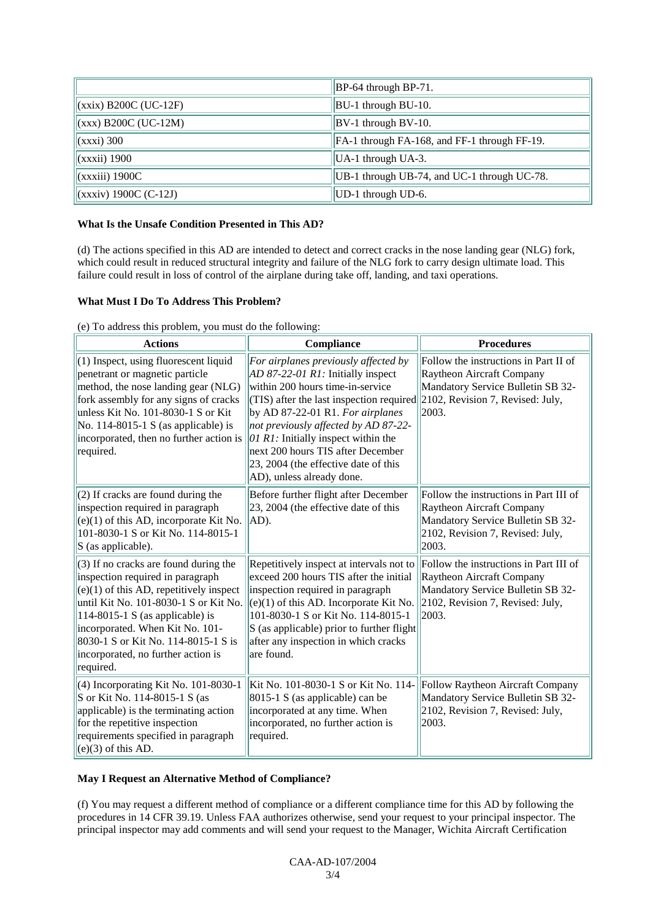|                         | $BP-64$ through $BP-71$ .                    |
|-------------------------|----------------------------------------------|
| $(xxix)$ B200C (UC-12F) | BU-1 through BU-10.                          |
| $(xxx)$ B200C (UC-12M)  | $BV-1$ through BV-10.                        |
| $(xxxi)$ 300            | FA-1 through FA-168, and FF-1 through FF-19. |
| $(xxxii)$ 1900          | UA-1 through UA-3.                           |
| (xxxiii) 1900C          | UB-1 through UB-74, and UC-1 through UC-78.  |
| $(xxxiv)$ 1900C (C-12J) | UD-1 through UD-6.                           |

#### **What Is the Unsafe Condition Presented in This AD?**

(d) The actions specified in this AD are intended to detect and correct cracks in the nose landing gear (NLG) fork, which could result in reduced structural integrity and failure of the NLG fork to carry design ultimate load. This failure could result in loss of control of the airplane during take off, landing, and taxi operations.

#### **What Must I Do To Address This Problem?**

|  |  | (e) To address this problem, you must do the following: |  |  |  |
|--|--|---------------------------------------------------------|--|--|--|
|  |  |                                                         |  |  |  |
|  |  |                                                         |  |  |  |

| <b>Actions</b>                                                                                                                                                                                                                                                                                                                  | Compliance                                                                                                                                                                                                                                                                                                                                                                                                                      | <b>Procedures</b>                                                                                                                                     |  |  |
|---------------------------------------------------------------------------------------------------------------------------------------------------------------------------------------------------------------------------------------------------------------------------------------------------------------------------------|---------------------------------------------------------------------------------------------------------------------------------------------------------------------------------------------------------------------------------------------------------------------------------------------------------------------------------------------------------------------------------------------------------------------------------|-------------------------------------------------------------------------------------------------------------------------------------------------------|--|--|
| (1) Inspect, using fluorescent liquid<br>penetrant or magnetic particle<br>method, the nose landing gear (NLG)<br>fork assembly for any signs of cracks<br>unless Kit No. 101-8030-1 S or Kit<br>No. $114-8015-1$ S (as applicable) is<br>incorporated, then no further action is<br>required.                                  | For airplanes previously affected by<br>$AD 87-22-01 R1$ : Initially inspect<br>within 200 hours time-in-service<br>(TIS) after the last inspection required 2102, Revision 7, Revised: July,<br>by AD 87-22-01 R1. For airplanes<br>not previously affected by AD 87-22-<br>$[01 R1]$ : Initially inspect within the<br>next 200 hours TIS after December<br>23, 2004 (the effective date of this<br>AD), unless already done. | Follow the instructions in Part II of<br>Raytheon Aircraft Company<br>Mandatory Service Bulletin SB 32-<br>2003.                                      |  |  |
| (2) If cracks are found during the<br>inspection required in paragraph<br>$(e)(1)$ of this AD, incorporate Kit No.<br>101-8030-1 S or Kit No. 114-8015-1<br>$S$ (as applicable).                                                                                                                                                | Before further flight after December<br>23, 2004 (the effective date of this<br>AD).                                                                                                                                                                                                                                                                                                                                            | Follow the instructions in Part III of<br>Raytheon Aircraft Company<br>Mandatory Service Bulletin SB 32-<br>2102, Revision 7, Revised: July,<br>2003. |  |  |
| (3) If no cracks are found during the<br>inspection required in paragraph<br>$(e)(1)$ of this AD, repetitively inspect<br>until Kit No. 101-8030-1 S or Kit No.<br>114-8015-1 S (as applicable) is<br>incorporated. When Kit No. 101-<br>8030-1 S or Kit No. 114-8015-1 S is<br>incorporated, no further action is<br>required. | Repetitively inspect at intervals not to<br>exceed 200 hours TIS after the initial<br>inspection required in paragraph<br>$(e)(1)$ of this AD. Incorporate Kit No.<br>101-8030-1 S or Kit No. 114-8015-1<br>S (as applicable) prior to further flight<br>after any inspection in which cracks<br>are found.                                                                                                                     | Follow the instructions in Part III of<br>Raytheon Aircraft Company<br>Mandatory Service Bulletin SB 32-<br>2102, Revision 7, Revised: July,<br>2003. |  |  |
| (4) Incorporating Kit No. 101-8030-1<br>S or Kit No. 114-8015-1 S (as<br>applicable) is the terminating action<br>for the repetitive inspection<br>requirements specified in paragraph<br>$(e)(3)$ of this AD.                                                                                                                  | Kit No. 101-8030-1 S or Kit No. 114-<br>8015-1 S (as applicable) can be<br>incorporated at any time. When<br>incorporated, no further action is<br>required.                                                                                                                                                                                                                                                                    | Follow Raytheon Aircraft Company<br>Mandatory Service Bulletin SB 32-<br>2102, Revision 7, Revised: July,<br>2003.                                    |  |  |

#### **May I Request an Alternative Method of Compliance?**

(f) You may request a different method of compliance or a different compliance time for this AD by following the procedures in 14 CFR 39.19. Unless FAA authorizes otherwise, send your request to your principal inspector. The principal inspector may add comments and will send your request to the Manager, Wichita Aircraft Certification